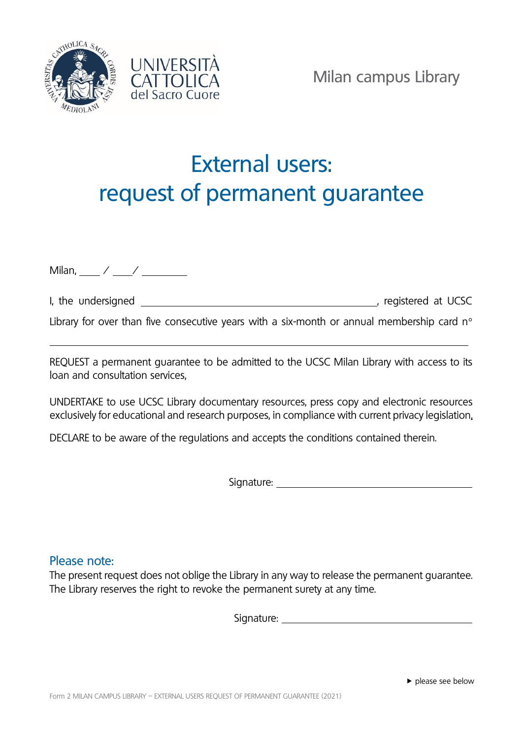



## External users: request of permanent guarantee

Milan, / /

|  | I, the undersigned | registered at UCSC |  |
|--|--------------------|--------------------|--|
|  |                    |                    |  |

Library for over than five consecutive years with a six-month or annual membership card  $n^{\circ}$ 

REQUEST a permanent guarantee to be admitted to the UCSC Milan Library with access to its loan and consultation services,

UNDERTAKE to use UCSC Library documentary resources, press copy and electronic resources exclusively for educational and research purposes, in compliance with current privacy legislation,

DECLARE to be aware of the regulations and accepts the conditions contained therein.

Signature:

## Please note:

The present request does not oblige the Library in any way to release the permanent guarantee. The Library reserves the right to revoke the permanent surety at any time.

Signature: